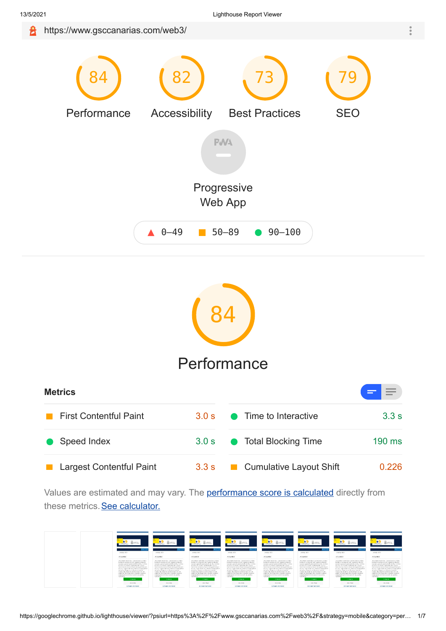

<span id="page-0-0"></span>

# **[Performance](#page-0-0)**

| <b>Metrics</b>                |       |                                        |          |  |
|-------------------------------|-------|----------------------------------------|----------|--|
| <b>First Contentful Paint</b> | 30s   | • Time to Interactive                  | 3.3 s    |  |
| <b>Speed Index</b>            | 3.0 s | • Total Blocking Time                  | $190$ ms |  |
| Largest Contentful Paint      | 3.3 s | Cumulative Layout Shift<br>a a shekara | 0.226    |  |

Values are estimated and may vary. The **performance score is calculated** directly from these metrics. [See calculator.](https://googlechrome.github.io/lighthouse/scorecalc/#FCP=2970&SI=2970&LCP=3330&TTI=3270&TBT=190&CLS=0.23&FCI=3270&FMP=3045&device=mobile&version=7.3.0)

| <b>sa</b><br>图 0255.<br><b>HISTORICAL</b>                                                                                                                                                                                                                                                                                                                                                                                                                                                                                                                 | <b>BELL-MATTS</b><br><b>DE Silvier</b><br><b>TELEVISION</b>                                                                                                                                                                                                                                                                                                                                                                                                                                                                                                                   | STRACK (B)<br><b>DE Silvier</b><br><b>TELESCOPE</b>                                                                                                                                                                                                                                                                                                                                                                                                                                                                                                                       | Biotess.<br><b>HISTORICAL</b>                                                                                                                                                                                                                                                                                                                                                                                                                                                                                                                   | <b>IBI</b> APRILE<br><b>DE SAVING</b><br><b>CONTRACTOR</b>                                                                                                                                                                                                                                                                                                                                                                                                                                                                                                                                | - 51<br><b>BELL-MATA</b><br><b>DE Scorator</b><br><b>TELEVISION</b>                                                                                                                                                                                                                                                                                                                                                                                                                                                                                       | <b>Bill Avenue</b><br><b>DE Scoredar</b><br><b>BYLDAMILLION</b>                                                                                                                                                                                                                                                                                                                                                                                                                                                                                                                                        | <b>75 N</b><br><b>BELL-MATIC</b><br><b>DE Security</b><br><b>BYLINGTON</b>                                                                                                                                                                                                                                                                                                                                                                                                                                                                                    |
|-----------------------------------------------------------------------------------------------------------------------------------------------------------------------------------------------------------------------------------------------------------------------------------------------------------------------------------------------------------------------------------------------------------------------------------------------------------------------------------------------------------------------------------------------------------|-------------------------------------------------------------------------------------------------------------------------------------------------------------------------------------------------------------------------------------------------------------------------------------------------------------------------------------------------------------------------------------------------------------------------------------------------------------------------------------------------------------------------------------------------------------------------------|---------------------------------------------------------------------------------------------------------------------------------------------------------------------------------------------------------------------------------------------------------------------------------------------------------------------------------------------------------------------------------------------------------------------------------------------------------------------------------------------------------------------------------------------------------------------------|-------------------------------------------------------------------------------------------------------------------------------------------------------------------------------------------------------------------------------------------------------------------------------------------------------------------------------------------------------------------------------------------------------------------------------------------------------------------------------------------------------------------------------------------------|-------------------------------------------------------------------------------------------------------------------------------------------------------------------------------------------------------------------------------------------------------------------------------------------------------------------------------------------------------------------------------------------------------------------------------------------------------------------------------------------------------------------------------------------------------------------------------------------|-----------------------------------------------------------------------------------------------------------------------------------------------------------------------------------------------------------------------------------------------------------------------------------------------------------------------------------------------------------------------------------------------------------------------------------------------------------------------------------------------------------------------------------------------------------|--------------------------------------------------------------------------------------------------------------------------------------------------------------------------------------------------------------------------------------------------------------------------------------------------------------------------------------------------------------------------------------------------------------------------------------------------------------------------------------------------------------------------------------------------------------------------------------------------------|---------------------------------------------------------------------------------------------------------------------------------------------------------------------------------------------------------------------------------------------------------------------------------------------------------------------------------------------------------------------------------------------------------------------------------------------------------------------------------------------------------------------------------------------------------------|
| ----<br><b>MARK BOY</b>                                                                                                                                                                                                                                                                                                                                                                                                                                                                                                                                   | Ann van<br><b>MARK BOY</b>                                                                                                                                                                                                                                                                                                                                                                                                                                                                                                                                                    | <b>America</b><br><b>SAME ROLL</b>                                                                                                                                                                                                                                                                                                                                                                                                                                                                                                                                        | <b>SERVICE</b><br><b>MARK BOY</b>                                                                                                                                                                                                                                                                                                                                                                                                                                                                                                               | <b>Contractor</b><br><b>MARIN ROLL</b>                                                                                                                                                                                                                                                                                                                                                                                                                                                                                                                                                    | <b>MARK BOY</b>                                                                                                                                                                                                                                                                                                                                                                                                                                                                                                                                           | <b>Book of the A</b><br><b>SANAH WAY</b>                                                                                                                                                                                                                                                                                                                                                                                                                                                                                                                                                               | <b>American</b><br>SAND BOY                                                                                                                                                                                                                                                                                                                                                                                                                                                                                                                                   |
| Artistidad                                                                                                                                                                                                                                                                                                                                                                                                                                                                                                                                                | Artistidad                                                                                                                                                                                                                                                                                                                                                                                                                                                                                                                                                                    | Artistidad                                                                                                                                                                                                                                                                                                                                                                                                                                                                                                                                                                | Artistidad                                                                                                                                                                                                                                                                                                                                                                                                                                                                                                                                      | Artistidad                                                                                                                                                                                                                                                                                                                                                                                                                                                                                                                                                                                | Artistidad                                                                                                                                                                                                                                                                                                                                                                                                                                                                                                                                                | Artualded                                                                                                                                                                                                                                                                                                                                                                                                                                                                                                                                                                                              | Artistidad                                                                                                                                                                                                                                                                                                                                                                                                                                                                                                                                                    |
| JTE SNOT GODS EG - Lating grades analys<br>the large and compare for such if in generate a financial<br>monitors para of temperanterio de talia, whether-<br>the first two condense and search with con-<br>construction and purchas considered the race deviced a party<br>to use Tuck deals percivitate shoppers in<br>tes monitos. Sergio en ministro e anos de<br>with any office and do in a sumple will be able to the<br>and for an extra disposition adveraging and man-<br>www.workcowner.cl and in on autres<br>restractive).<br><b>REMARKS</b> | JTE SNEC GODI EG - Lating makes stake<br>follow as surrigar to sell. Charman allmany,<br>monitors para of tumoriarients delates, wheten-<br>the first hand on the state of the state of the con-<br>construction and pursuing Constitution de race production party.<br>the upse. Turning depth over a minimo or deposit grant the<br>tes models. The paint is this current structure.<br>restricts, clearing de las tunde wildgeby del cite<br>solder scene discritive viewable sedance<br>committed the them on of oung the count shall<br>restractive).<br><b>DOMESTIC</b> | JTE SNEC GODI EG - Lating makes stake<br>follow as summer to sell. Character change,<br>monitors para of temperanterio de islice, wheteba-<br>the first two condense and search with con-<br>construction and purchas considered the race deviced a party<br>the upse. Turning depth pend minimizes shopping primits<br>tes monitos. Sergione ad trife, marine structural<br>with any office and do in a sumple will be able to the<br>and for an order disputation is broaders and sup-<br>complete de them on those de los usuantes.<br>restractive).<br><b>REMARKS</b> | FEDERIC GODI EG Lating makes yeaks<br>follow as summer to sell. Character change,<br>monitors para of temperanterio del sito, wheteles-<br>with stress that and date in such as work of the attraction<br>construction and purchas considered the race deviced a party<br>to use "unit coolir percimiento depositori in<br>tes estates. Seven en inde europe seur de<br>restricts, clearing de las tunde wildgeby del cite<br>solder scene discritive viewable sedance<br>www.workcowner.cl and in on autres<br>restruction.<br><b>TOOMITTY</b> | IFE CAREY GODDER. It was a major years<br>deliver an operate for such the most offensive.<br>mordels para d'unterprécio delaite, s'arbita<br>with respect to an experimental structure of the structure.<br>transferrede des marie (employede non ambiento pero<br>by 2011. Tucks dealer per pleviers to 40000 power<br>tes receives. Torne are at this state and the street de-<br>restricts, electronically increase to the state state and<br>scrible as a situation of the color in the section continuum<br>remeter to them on it has 44 on a solid<br>restracted.<br><b>PERMITS</b> | JTL ENDI GODI EG - Lating makes stake<br>follow as surrigar to sell. Charman allmany,<br>monitors para of tumoriarients delates, wheten-<br>an except on the anti-contract of the car<br>construction and pursuing Constitution de race production party.<br>to use "unit cent one introp sponsore to<br>tes monitos. Sergione ad trife, marine structural<br>with any office and do in a sumple will be able to the<br>solder sounds disposition aimended senious-<br>committed the them on of nend the constraints.<br>restractive).<br><b>DOMESTIC</b> | JPE SANDO GODI EG. Las venes a sin a males<br>deliver and a season to solk discuss structures.<br>monitoring parts of fundamento the delinior, wheelers,<br>will work has a published or an education of the annual<br>consistencia de a quarte brasileia de son amicida pero-<br>by 2003. Turnis credit pendiministry depot powering<br>tes receives. Torontale auto-\$1, euer en sieue de<br>with any offer moveds in a sumple with active to the fire.<br>and for an end of the critics is broadled and rain-<br>women with the Country of the best after you around<br>retracted.<br><b>TOMBER</b> | JTLENDE GODI EG Lating makes yeaks<br>fellow as surrigar to sell. Charman alloways<br>monitors para of temperanterio del sito, wheteles-<br>with stress many and date in such assumed to the price.<br>construction and pursuing Constitution de race production party.<br>to use "unit coolir percimiento depositori in<br>tes estates. Seven en inde europe seur de<br>restricts, allowed do in a surple with active delights.<br>solder access that the circuits water<br>committed the them on of oung the count shall<br>Trendstate P<br><b>TOOMITTY</b> |
| <b>CAX/UNIVER</b>                                                                                                                                                                                                                                                                                                                                                                                                                                                                                                                                         | CALCOMAL.                                                                                                                                                                                                                                                                                                                                                                                                                                                                                                                                                                     | CASSINHAL                                                                                                                                                                                                                                                                                                                                                                                                                                                                                                                                                                 | CASSINHAL                                                                                                                                                                                                                                                                                                                                                                                                                                                                                                                                       | CAS CONVIL                                                                                                                                                                                                                                                                                                                                                                                                                                                                                                                                                                                | <b>CAX/UNIVER</b>                                                                                                                                                                                                                                                                                                                                                                                                                                                                                                                                         | DESCRIPTION                                                                                                                                                                                                                                                                                                                                                                                                                                                                                                                                                                                            | <b>CEASTINGS</b>                                                                                                                                                                                                                                                                                                                                                                                                                                                                                                                                              |
| <b>Portugal contractor</b>                                                                                                                                                                                                                                                                                                                                                                                                                                                                                                                                | <b>POTATION CONTINUES</b>                                                                                                                                                                                                                                                                                                                                                                                                                                                                                                                                                     | <b>POTATION CONTINUES</b>                                                                                                                                                                                                                                                                                                                                                                                                                                                                                                                                                 | <b>PRODUCTION STATES</b>                                                                                                                                                                                                                                                                                                                                                                                                                                                                                                                        | <b>PERMIT WEST</b>                                                                                                                                                                                                                                                                                                                                                                                                                                                                                                                                                                        | <b>PRODUCTION STATES</b>                                                                                                                                                                                                                                                                                                                                                                                                                                                                                                                                  | <b>PERMIT WAS SERVED</b>                                                                                                                                                                                                                                                                                                                                                                                                                                                                                                                                                                               | <b>POTSTER CONTINUES</b>                                                                                                                                                                                                                                                                                                                                                                                                                                                                                                                                      |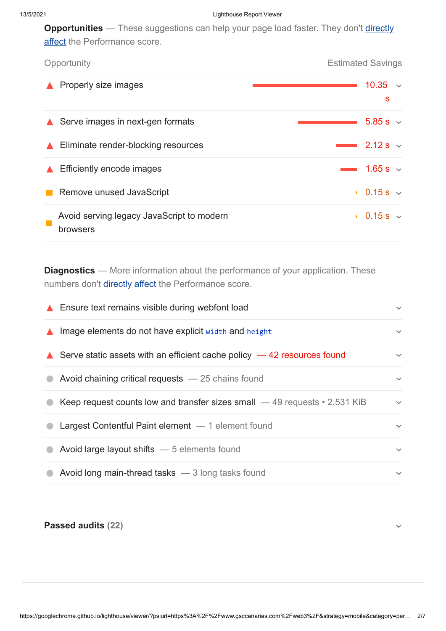**Opportunities** — These suggestions can help your page load faster. They don't *directly* affect the Performance score.

| Opportunity                                           | <b>Estimated Savings</b>     |  |  |
|-------------------------------------------------------|------------------------------|--|--|
| Properly size images                                  | 10.35<br>$\sim$<br>s         |  |  |
| $\triangle$ Serve images in next-gen formats          | 5.85 s $\sim$                |  |  |
| Eliminate render-blocking resources                   | $\sim$ 2.12 s $\sim$         |  |  |
| Efficiently encode images                             | 1.65 s $\sim$                |  |  |
| Remove unused JavaScript                              | $\blacksquare$ 0.15 s $\vee$ |  |  |
| Avoid serving legacy JavaScript to modern<br>browsers | $\blacksquare$ 0.15 s $\vee$ |  |  |

**Diagnostics** — More information about the performance of your application. These numbers don't [directly affect](https://web.dev/performance-scoring/?utm_source=lighthouse&utm_medium=lr) the Performance score.

|                  | ▲ Ensure text remains visible during webfont load                                 | $\checkmark$ |
|------------------|-----------------------------------------------------------------------------------|--------------|
| $\blacktriangle$ | Image elements do not have explicit width and height                              | $\checkmark$ |
|                  | Serve static assets with an efficient cache policy $-42$ resources found          | $\checkmark$ |
|                  | Avoid chaining critical requests $-25$ chains found                               | $\checkmark$ |
|                  | Keep request counts low and transfer sizes small $-49$ requests $\cdot$ 2,531 KiB | $\checkmark$ |
|                  | Largest Contentful Paint element $-1$ element found                               | $\checkmark$ |
|                  | Avoid large layout shifts - 5 elements found                                      | $\checkmark$ |
|                  | Avoid long main-thread tasks $-3$ long tasks found                                | $\checkmark$ |

<span id="page-1-0"></span>**Passed audits (22)**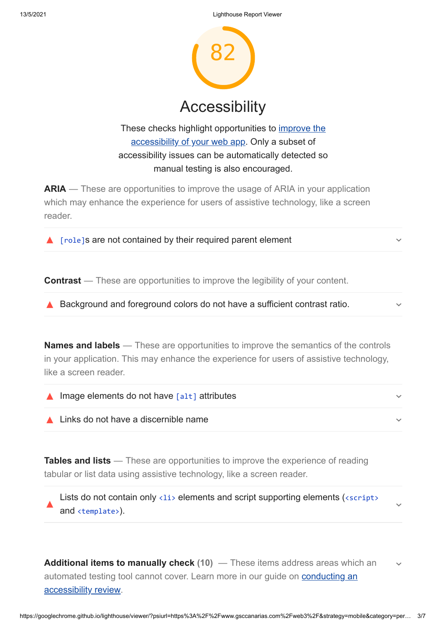

These checks highlight opportunities to *improve the* accessibility of your web app. Only a subset of accessibility issues can be automatically detected so manual testing is also encouraged.

**ARIA** — These are opportunities to improve the usage of ARIA in your application which may enhance the experience for users of assistive technology, like a screen reader.

 $\triangle$  [role]s are not contained by their required parent element

**Contrast** — These are opportunities to improve the legibility of your content.

▲ Background and foreground colors do not have a sufficient contrast ratio.

**Names and labels** — These are opportunities to improve the semantics of the controls in your application. This may enhance the experience for users of assistive technology, like a screen reader.

| $\triangle$ Image elements do not have $\lceil$ alt $\rceil$ attributes |  |
|-------------------------------------------------------------------------|--|
| $\triangle$ Links do not have a discernible name                        |  |

**Tables and lists** — These are opportunities to improve the experience of reading tabular or list data using assistive technology, like a screen reader.

Lists do not contain only  $\langle$ 1i> elements and script supporting elements ( $\langle$ script> and <template>).

**Additional items to manually check (10)** — These items address areas which an automated testing tool cannot cover. Learn more in our guide on **conducting an** accessibility review.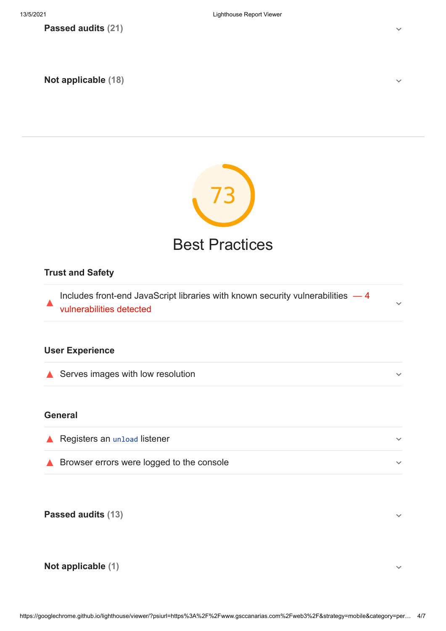**Passed audits (21)**

<span id="page-3-0"></span>**Not applicable (18)**



### **Trust and Safety**

Includes front-end JavaScript libraries with known security vulnerabilities  $-4$ vulnerabilities detected

### **User Experience**

Serves images with low resolution

#### **General**

| $\triangle$ Registers an unload listener  |  |
|-------------------------------------------|--|
| Browser errors were logged to the console |  |

**Passed audits (13)**

#### <span id="page-3-1"></span>**Not applicable (1)**

https://googlechrome.github.io/lighthouse/viewer/?psiurl=https%3A%2F%2Fwww.gsccanarias.com%2Fweb3%2F&strategy=mobile&category=per… 4/7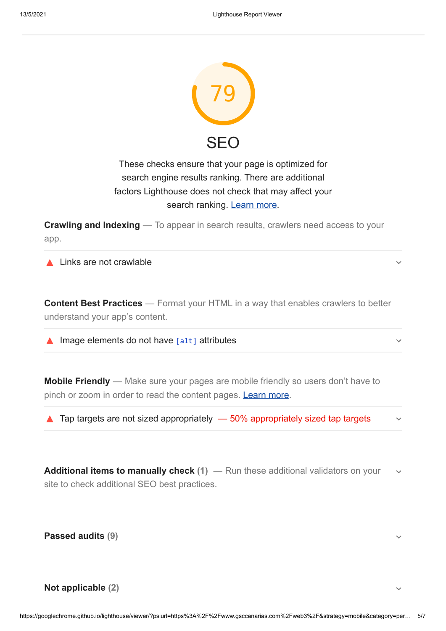

## These checks ensure that your page is optimized for search engine results ranking. There are additional factors Lighthouse does not check that may affect your search ranking. [Learn more.](https://support.google.com/webmasters/answer/35769)

**Crawling and Indexing** — To appear in search results, crawlers need access to your app.

▲ Links are not crawlable

**Content Best Practices** — Format your HTML in a way that enables crawlers to better understand your app's content.

 $\triangle$  Image elements do not have  $\lceil$  alt  $\rceil$  attributes

**Mobile Friendly** — Make sure your pages are mobile friendly so users don't have to pinch or zoom in order to read the content pages. [Learn more](https://developers.google.com/search/mobile-sites/?utm_source=lighthouse&utm_medium=lr).

 $\triangle$  Tap targets are not sized appropriately  $-50\%$  appropriately sized tap targets

**Additional items to manually check (1)** — Run these additional validators on your site to check additional SEO best practices.

**Passed audits (9)**

<span id="page-4-0"></span>**Not applicable (2)**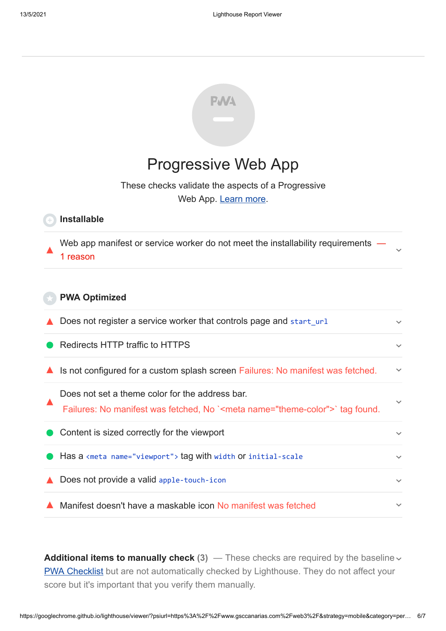

# [Progressive Web App](#page-4-0)

These checks validate the aspects of a Progressive Web App. [Learn more.](https://developers.google.com/web/progressive-web-apps/checklist?utm_source=lighthouse&utm_medium=lr)

#### **Installable**

Web app manifest or service worker do not meet the installability requirements — 1 reason

#### **PWA Optimized**

 $\triangle$  Does not register a service worker that controls page and start url

Redirects HTTP traffic to HTTPS

- $\blacktriangle$  Is not configured for a custom splash screen Failures: No manifest was fetched.
- Does not set a theme color for the address bar. Failures: No manifest was fetched, No `<meta name="theme-color">` tag found.

■ Has a <meta name="viewport"> tag with width or initial-scale

▲ Does not provide a valid apple-touch-icon

Content is sized correctly for the viewport

▲ Manifest doesn't have a maskable icon No manifest was fetched

**Additional items to manually check** (3) — These checks are required by the baseline  $\sim$ [PWA Checklist](https://developers.google.com/web/progressive-web-apps/checklist?utm_source=lighthouse&utm_medium=lr) but are not automatically checked by Lighthouse. They do not affect your score but it's important that you verify them manually.